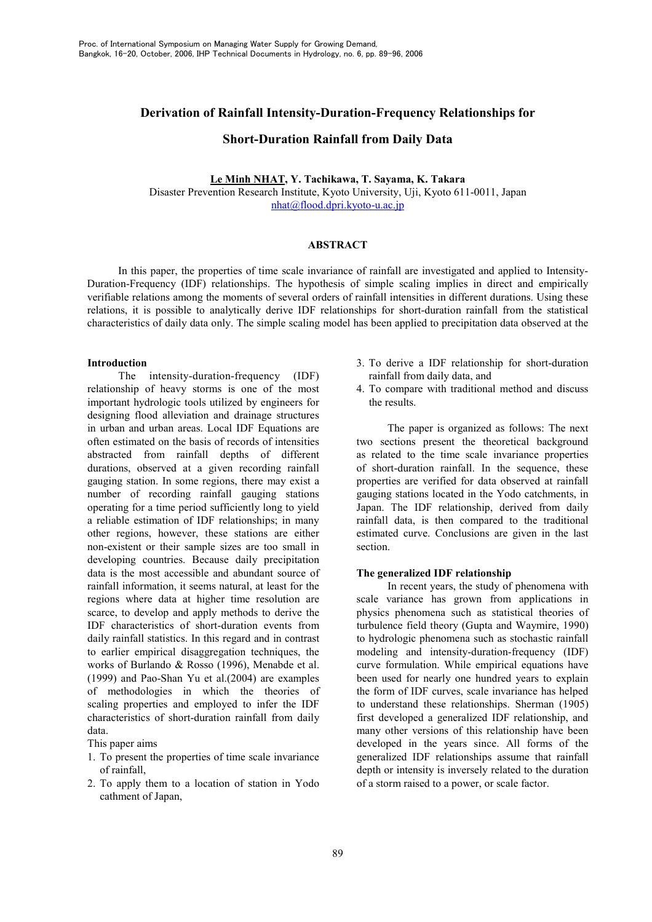# **Derivation of Rainfall Intensity-Duration-Frequency Relationships for**

## **Short-Duration Rainfall from Daily Data**

## Le Minh NHAT, Y. Tachikawa, T. Sayama, K. Takara Disaster Prevention Research Institute, Kyoto University, Uji, Kyoto 611-0011, Japan  $nhat(\omega)$ flood.dpri.kyoto-u.ac.jp

## **ABSTRACT**

In this paper, the properties of time scale invariance of rainfall are investigated and applied to Intensity-Duration-Frequency (IDF) relationships. The hypothesis of simple scaling implies in direct and empirically verifiable relations among the moments of several orders of rainfall intensities in different durations. Using these relations, it is possible to analytically derive IDF relationships for short-duration rainfall from the statistical characteristics of daily data only. The simple scaling model has been applied to precipitation data observed at the

#### **Introduction**

The intensity-duration-frequency (IDF) relationship of heavy storms is one of the most important hydrologic tools utilized by engineers for designing flood alleviation and drainage structures in urban and urban areas. Local IDF Equations are often estimated on the basis of records of intensities abstracted from rainfall depths of different durations, observed at a given recording rainfall gauging station. In some regions, there may exist a number of recording rainfall gauging stations operating for a time period sufficiently long to yield a reliable estimation of IDF relationships; in many other regions, however, these stations are either non-existent or their sample sizes are too small in developing countries. Because daily precipitation data is the most accessible and abundant source of rainfall information, it seems natural, at least for the regions where data at higher time resolution are scarce, to develop and apply methods to derive the IDF characteristics of short-duration events from daily rainfall statistics. In this regard and in contrast to earlier empirical disaggregation techniques, the works of Burlando & Rosso (1996), Menabde et al.  $(1999)$  and Pao-Shan Yu et al. $(2004)$  are examples of methodologies in which the theories of scaling properties and employed to infer the IDF characteristics of short-duration rainfall from daily data.

This paper aims

- 1. To present the properties of time scale invariance of rainfall.
- 2. To apply them to a location of station in Yodo cathment of Japan,
- 3. To derive a IDF relationship for short-duration rainfall from daily data, and
- 4. To compare with traditional method and discuss the results

The paper is organized as follows: The next two sections present the theoretical background as related to the time scale invariance properties of short-duration rainfall. In the sequence, these properties are verified for data observed at rainfall gauging stations located in the Yodo catchments, in Japan. The IDF relationship, derived from daily rainfall data, is then compared to the traditional estimated curve. Conclusions are given in the last section.

#### The generalized IDF relationship

In recent years, the study of phenomena with scale variance has grown from applications in physics phenomena such as statistical theories of turbulence field theory (Gupta and Waymire, 1990) to hydrologic phenomena such as stochastic rainfall modeling and intensity-duration-frequency (IDF) curve formulation. While empirical equations have been used for nearly one hundred vears to explain the form of IDF curves, scale invariance has helped to understand these relationships. Sherman (1905) first developed a generalized IDF relationship, and many other versions of this relationship have been developed in the years since. All forms of the generalized IDF relationships assume that rainfall depth or intensity is inversely related to the duration of a storm raised to a power, or scale factor.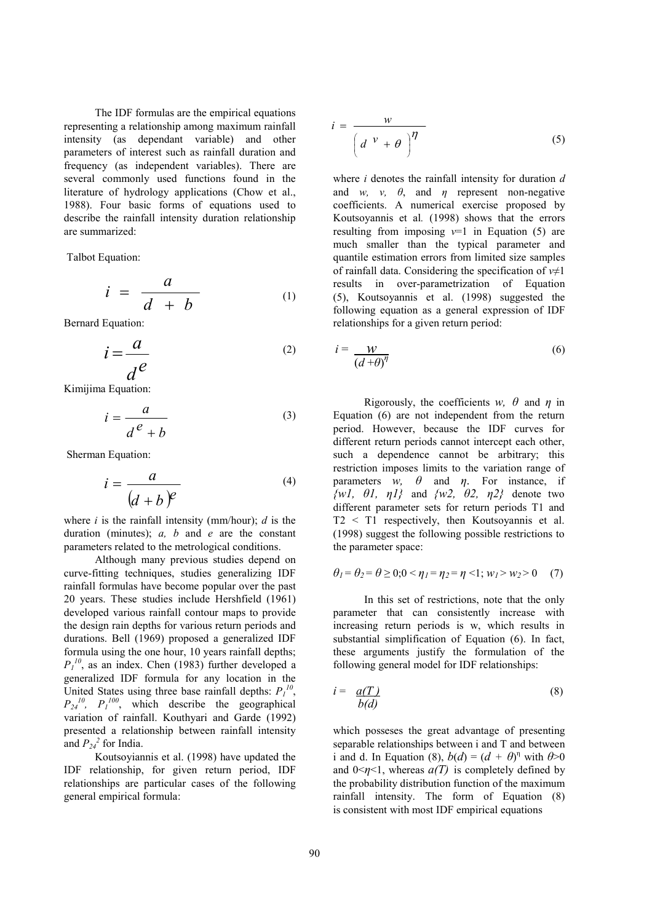The IDF formulas are the empirical equations representing a relationship among maximum rainfall intensity (as dependant variable) and other parameters of interest such as rainfall duration and frequency (as independent variables). There are several commonly used functions found in the literature of hydrology applications (Chow et al., 1988). Four basic forms of equations used to describe the rainfall intensity duration relationship are summarized:

Talbot Equation:

$$
i = \frac{a}{d+b} \tag{1}
$$

**Bernard Equation:** 

$$
i = \frac{a}{d^e} \tag{2}
$$

Kimijima Equation:

$$
i = \frac{a}{d^e + b} \tag{3}
$$

Sherman Equation:

$$
i = \frac{a}{(d+b)^e}
$$
 (4)

where  $i$  is the rainfall intensity (mm/hour);  $d$  is the duration (minutes);  $a, b$  and  $e$  are the constant parameters related to the metrological conditions.

Although many previous studies depend on curve-fitting techniques, studies generalizing IDF rainfall formulas have become popular over the past 20 years. These studies include Hershfield (1961) developed various rainfall contour maps to provide the design rain depths for various return periods and durations. Bell (1969) proposed a generalized IDF formula using the one hour, 10 years rainfall depths;  $P_1^{10}$ , as an index. Chen (1983) further developed a generalized IDF formula for any location in the United States using three base rainfall depths:  $P_l^{10}$ .  $P_{24}^{10}$ ,  $P_1^{100}$ , which describe the geographical variation of rainfall. Kouthyari and Garde (1992) presented a relationship between rainfall intensity and  $P_{24}^2$  for India.

Koutsoviannis et al. (1998) have updated the IDF relationship, for given return period, IDF relationships are particular cases of the following general empirical formula:

$$
i = \frac{w}{\left(d^{\nu} + \theta\right)^{\eta}}
$$
 (5)

where  $i$  denotes the rainfall intensity for duration  $d$ and w, v,  $\theta$ , and  $\eta$  represent non-negative coefficients. A numerical exercise proposed by Koutsovannis et al. (1998) shows that the errors resulting from imposing  $v=1$  in Equation (5) are much smaller than the typical parameter and quantile estimation errors from limited size samples of rainfall data. Considering the specification of  $v \neq 1$ results in over-parametrization of Equation (5), Koutsoyannis et al. (1998) suggested the following equation as a general expression of IDF relationships for a given return period:

$$
i = \frac{W}{\left(d + \theta\right)^{\eta}}
$$
\n<sup>(6)</sup>

Rigorously, the coefficients w,  $\theta$  and  $\eta$  in Equation (6) are not independent from the return period. However, because the IDF curves for different return periods cannot intercept each other, such a dependence cannot be arbitrary; this restriction imposes limits to the variation range of parameters w,  $\theta$  and  $\eta$ . For instance, if  $\{wl, \theta l, \eta l\}$  and  $\{w2, \theta2, \eta2\}$  denote two different parameter sets for return periods T1 and  $T2 \leq T1$  respectively, then Koutsoyannis et al. (1998) suggest the following possible restrictions to the parameter space:

$$
\theta_1 = \theta_2 = \theta \ge 0; 0 < \eta_1 = \eta_2 = \eta < 1; w_1 > w_2 > 0 \tag{7}
$$

In this set of restrictions, note that the only parameter that can consistently increase with increasing return periods is w, which results in substantial simplification of Equation (6). In fact, these arguments justify the formulation of the following general model for IDF relationships:

$$
i = \frac{a(T)}{b(d)} \tag{8}
$$

which possesses the great advantage of presenting separable relationships between i and T and between i and d. In Equation (8),  $b(d) = (d + \theta)^{\eta}$  with  $\theta > 0$ and  $0 \le \eta \le 1$ , whereas  $a(T)$  is completely defined by the probability distribution function of the maximum rainfall intensity. The form of Equation (8) is consistent with most IDF empirical equations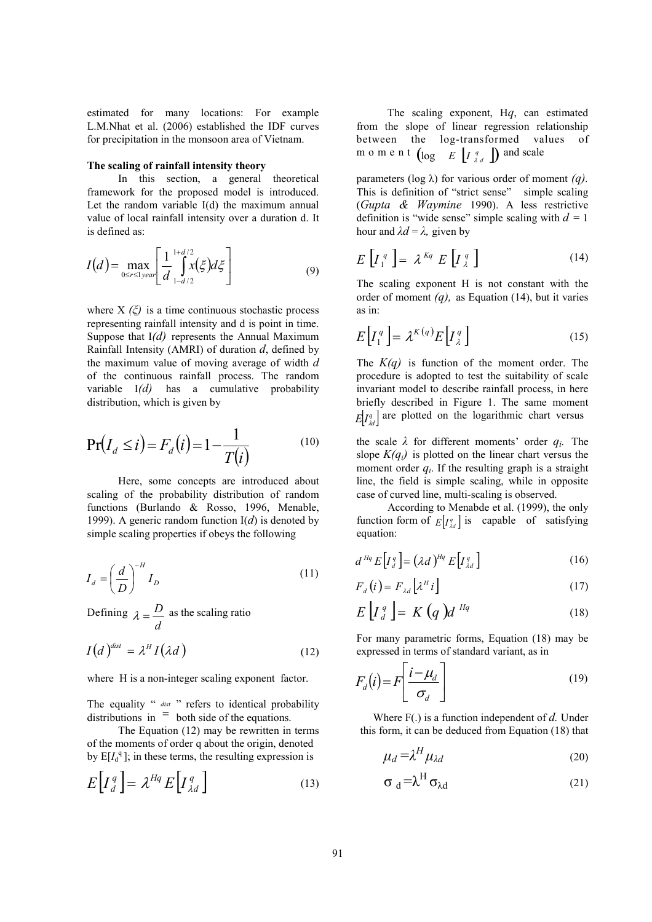estimated for many locations: For example L.M.Nhat et al. (2006) established the IDF curves for precipitation in the monsoon area of Vietnam.

#### The scaling of rainfall intensity theory

In this section, a general theoretical framework for the proposed model is introduced. Let the random variable  $I(d)$  the maximum annual value of local rainfall intensity over a duration d. It is defined as:

$$
I(d) = \max_{0 \le r \le 1} \left[ \frac{1}{d} \int_{1-d/2}^{1+d/2} x(\xi) d\xi \right]
$$
 (9)

where  $X(\xi)$  is a time continuous stochastic process representing rainfall intensity and d is point in time. Suppose that  $I(d)$  represents the Annual Maximum Rainfall Intensity (AMRI) of duration  $d$ , defined by the maximum value of moving average of width d of the continuous rainfall process. The random variable  $I(d)$ has a cumulative probability distribution, which is given by

$$
\Pr(I_d \le i) = F_d(i) = 1 - \frac{1}{T(i)} \tag{10}
$$

Here, some concepts are introduced about scaling of the probability distribution of random functions (Burlando & Rosso, 1996, Menable, 1999). A generic random function  $I(d)$  is denoted by simple scaling properties if obeys the following

$$
I_d = \left(\frac{d}{D}\right)^{-H} I_D \tag{11}
$$

Defining  $\lambda = \frac{D}{d}$  as the scaling ratio

$$
I(d)^{dist} = \lambda^H I(\lambda d)
$$
 (12)

where H is a non-integer scaling exponent factor.

The equality " dist " refers to identical probability distributions in  $=$  both side of the equations.

The Equation  $(12)$  may be rewritten in terms of the moments of order a about the origin, denoted by  $E[I_d^q]$ ; in these terms, the resulting expression is

$$
E\left[I_d^q\right] = \lambda^{Hq} E\left[I_{\lambda d}^q\right] \tag{13}
$$

The scaling exponent,  $Hq$ , can estimated from the slope of linear regression relationship between the log-transformed values of m o m e n t  $\left(\log \frac{E}{\log n}\right)$  and scale

parameters (log  $\lambda$ ) for various order of moment (*q*). This is definition of "strict sense" simple scaling (Gupta & Waymine 1990). A less restrictive definition is "wide sense" simple scaling with  $d = 1$ hour and  $\lambda d = \lambda$ , given by

$$
E\left[I_1^q\right] = \lambda^{Kq} E\left[I_{\lambda}^q\right] \tag{14}
$$

The scaling exponent H is not constant with the order of moment  $(q)$ , as Equation (14), but it varies as in:

$$
E\left[I_1^q\right] = \lambda^{K(q)} E\left[I_2^q\right] \tag{15}
$$

The  $K(q)$  is function of the moment order. The procedure is adopted to test the suitability of scale invariant model to describe rainfall process, in here briefly described in Figure 1. The same moment  $E[Y_{dd}^q]$  are plotted on the logarithmic chart versus

the scale  $\lambda$  for different moments' order  $q_i$ . The slope  $K(q_i)$  is plotted on the linear chart versus the moment order  $q_i$ . If the resulting graph is a straight line, the field is simple scaling, while in opposite case of curved line, multi-scaling is observed.

According to Menabde et al. (1999), the only function form of  $E[I_{\lambda d}^q]$  is capable of satisfying equation:

$$
d^{Hq} E\Big[I_d^q\Big] = \left(\lambda d\right)^{Hq} E\Big[I_{\lambda d}^q\Big] \tag{16}
$$

$$
F_d(i) = F_{\lambda d} \left[ \lambda^H i \right] \tag{17}
$$

$$
E\left[I_d^q\right] = K\left(q\right)d^{Hq} \tag{18}
$$

For many parametric forms, Equation (18) may be expressed in terms of standard variant, as in

$$
F_d(i) = F\left[\frac{i - \mu_d}{\sigma_d}\right] \tag{19}
$$

Where  $F(.)$  is a function independent of d. Under this form, it can be deduced from Equation (18) that

$$
\mu_d = \lambda^H \mu_{\lambda d} \tag{20}
$$

$$
\sigma_d = \lambda^H \sigma_{\lambda d} \tag{21}
$$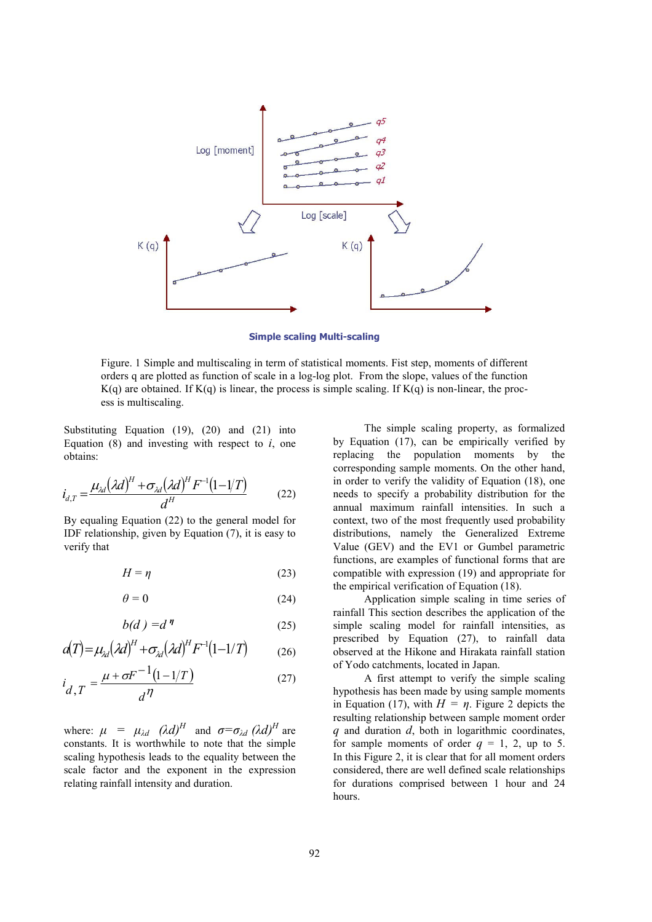

**Simple scaling Multi-scaling** 

Figure, 1 Simple and multiscaling in term of statistical moments. Fist step, moments of different orders q are plotted as function of scale in a log-log plot. From the slope, values of the function  $K(q)$  are obtained. If  $K(q)$  is linear, the process is simple scaling. If  $K(q)$  is non-linear, the process is multiscaling.

Substituting Equation  $(19)$ ,  $(20)$  and  $(21)$  into Equation (8) and investing with respect to  $i$ , one obtains:

$$
i_{d,T} = \frac{\mu_{\lambda d} (\lambda d)^H + \sigma_{\lambda d} (\lambda d)^H F^{-1} (1 - 1/T)}{d^H}
$$
 (22)

By equaling Equation (22) to the general model for IDF relationship, given by Equation  $(7)$ , it is easy to verify that

$$
H = \eta \tag{23}
$$

$$
\theta = 0 \tag{24}
$$

$$
b(d) = d^{\eta} \tag{25}
$$

$$
a(T) = \mu_{\lambda d} (\lambda d)^{H} + \sigma_{\lambda d} (\lambda d)^{H} F^{-1} (1 - 1/T) \tag{26}
$$

$$
i_{d,T} = \frac{\mu + \sigma F^{-1}(1 - 1/T)}{d^{\eta}}
$$
 (27)

where:  $\mu = \mu_{\lambda d} (\lambda d)^H$  and  $\sigma = \sigma_{\lambda d} (\lambda d)^H$  are constants. It is worthwhile to note that the simple scaling hypothesis leads to the equality between the scale factor and the exponent in the expression relating rainfall intensity and duration.

The simple scaling property, as formalized by Equation (17), can be empirically verified by replacing the population moments by the corresponding sample moments. On the other hand, in order to verify the validity of Equation (18), one needs to specify a probability distribution for the annual maximum rainfall intensities. In such a context, two of the most frequently used probability distributions, namely the Generalized Extreme Value (GEV) and the EV1 or Gumbel parametric functions, are examples of functional forms that are compatible with expression (19) and appropriate for the empirical verification of Equation (18).

Application simple scaling in time series of rainfall This section describes the application of the simple scaling model for rainfall intensities, as prescribed by Equation (27), to rainfall data observed at the Hikone and Hirakata rainfall station of Yodo catchments, located in Japan.

A first attempt to verify the simple scaling hypothesis has been made by using sample moments in Equation (17), with  $H = n$ . Figure 2 depicts the resulting relationship between sample moment order  $q$  and duration  $d$ , both in logarithmic coordinates, for sample moments of order  $q = 1, 2, up$  to 5. In this Figure 2, it is clear that for all moment orders considered, there are well defined scale relationships for durations comprised between 1 hour and 24 hours.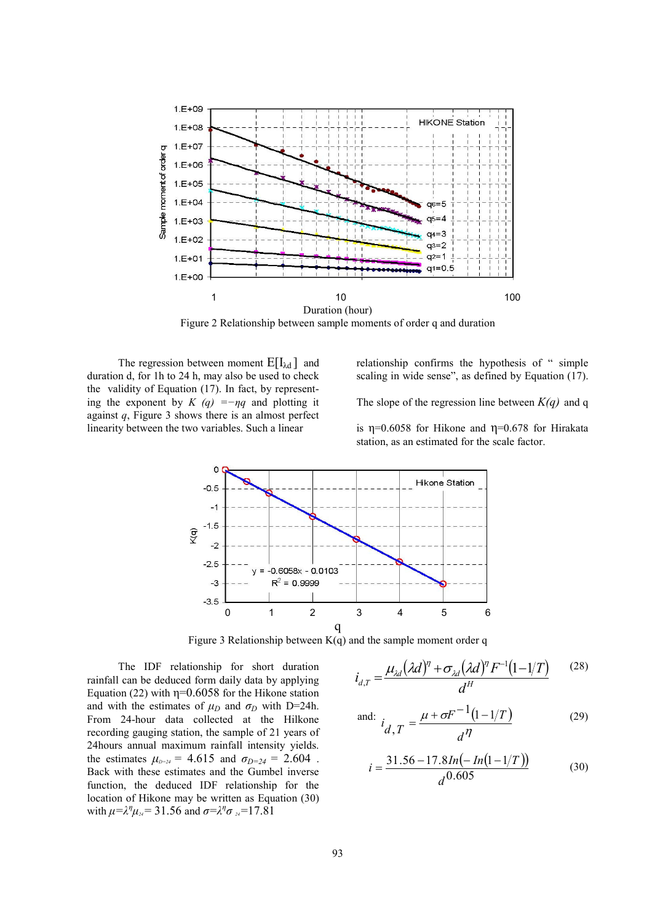

Figure 2 Relationship between sample moments of order q and duration

The regression between moment  $E[I_{\lambda d}]$  and duration d, for 1h to 24 h, may also be used to check the validity of Equation (17). In fact, by representing the exponent by  $K(q) = -nq$  and plotting it against  $q$ , Figure 3 shows there is an almost perfect linearity between the two variables. Such a linear

relationship confirms the hypothesis of "simple scaling in wide sense", as defined by Equation (17).

The slope of the regression line between  $K(q)$  and q

is  $\eta$ =0.6058 for Hikone and  $\eta$ =0.678 for Hirakata station, as an estimated for the scale factor.



Figure 3 Relationship between  $K(q)$  and the sample moment order q

The IDF relationship for short duration rainfall can be deduced form daily data by applying Equation (22) with  $\eta$ =0.6058 for the Hikone station and with the estimates of  $\mu_D$  and  $\sigma_D$  with D=24h. From 24-hour data collected at the Hilkone recording gauging station, the sample of 21 years of 24 hours annual maximum rainfall intensity yields. the estimates  $\mu_{D-24} = 4.615$  and  $\sigma_{D=24} = 2.604$ . Back with these estimates and the Gumbel inverse function, the deduced IDF relationship for the location of Hikone may be written as Equation (30) with  $\mu = \lambda^{\eta} \mu_{\nu} = 31.56$  and  $\sigma = \lambda^{\eta} \sigma_{\nu} = 17.81$ 

$$
i_{d,T} = \frac{\mu_{\lambda d} (\lambda d)^{\eta} + \sigma_{\lambda d} (\lambda d)^{\eta} F^{-1} (1 - 1/T)}{d^H}
$$
 (28)

and: 
$$
i_{d,T} = \frac{\mu + \sigma F^{-1}(1 - 1/T)}{d^{\eta}}
$$
 (29)

$$
i = \frac{31.56 - 17.8In(-In(1 - 1/T))}{d^{0.605}}
$$
(30)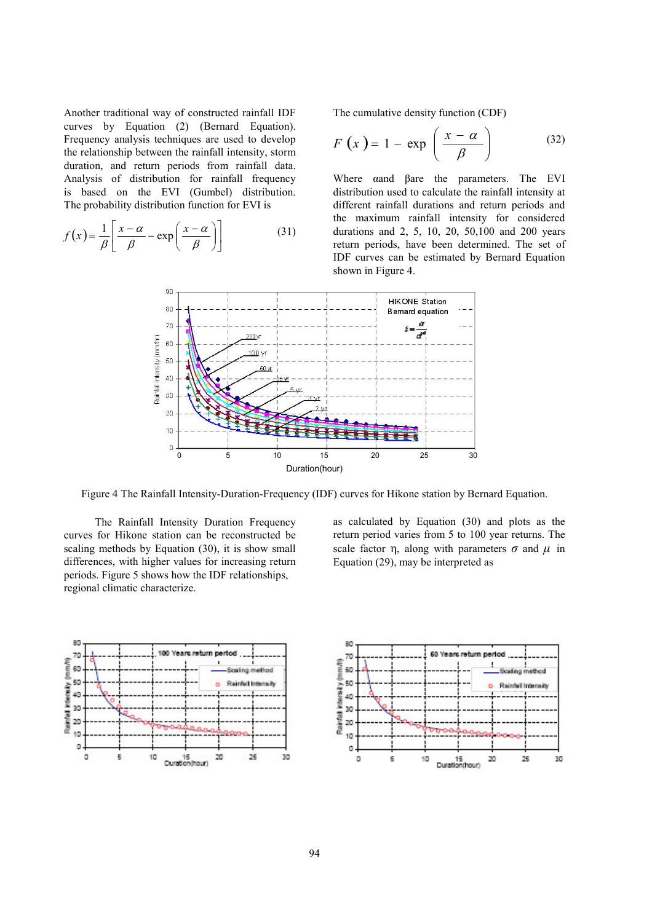Another traditional way of constructed rainfall IDF curves by Equation (2) (Bernard Equation). Frequency analysis techniques are used to develop the relationship between the rainfall intensity, storm duration, and return periods from rainfall data. Analysis of distribution for rainfall frequency is based on the EVI (Gumbel) distribution. The probability distribution function for EVI is

$$
f(x) = \frac{1}{\beta} \left[ \frac{x - \alpha}{\beta} - \exp\left(\frac{x - \alpha}{\beta}\right) \right]
$$
 (31)

The cumulative density function (CDF)

$$
F(x) = 1 - \exp\left(\frac{x - \alpha}{\beta}\right) \tag{32}
$$

Where gand Bare the parameters. The EVI distribution used to calculate the rainfall intensity at different rainfall durations and return periods and the maximum rainfall intensity for considered durations and 2, 5, 10, 20, 50,100 and 200 years return periods, have been determined. The set of IDF curves can be estimated by Bernard Equation shown in Figure 4.



Figure 4 The Rainfall Intensity-Duration-Frequency (IDF) curves for Hikone station by Bernard Equation.

The Rainfall Intensity Duration Frequency curves for Hikone station can be reconstructed be scaling methods by Equation (30), it is show small differences, with higher values for increasing return periods. Figure 5 shows how the IDF relationships, regional climatic characterize.

as calculated by Equation (30) and plots as the return period varies from 5 to 100 year returns. The scale factor  $\eta$ , along with parameters  $\sigma$  and  $\mu$  in Equation (29), may be interpreted as